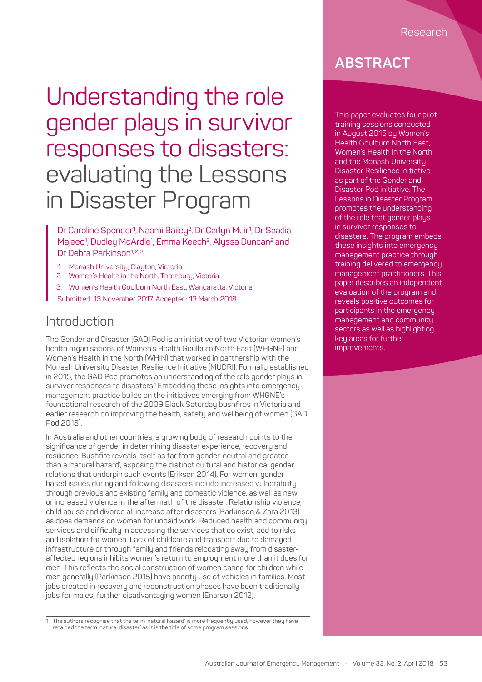# Understanding the role gender plays in survivor responses to disasters: evaluating the Lessons in Disaster Program

Dr Caroline Spencer<sup>1</sup>, Naomi Bailey<sup>2</sup>, Dr Carlyn Muir<sup>1</sup>, Dr Saadia Majeed<sup>1</sup>, Dudley McArdle<sup>1</sup>, Emma Keech<sup>2</sup>, Alyssa Duncan<sup>2</sup> and Dr Debra Parkinson<sup>1, 2, 3</sup>

- 1. Monash University, Clayton, Victoria.
- 2. Women's Health in the North, Thornbury, Victoria.
- 3. Women's Health Goulburn North East, Wangaratta, Victoria.
- Submitted: 13 November 2017. Accepted: 13 March 2018.

### Introduction

The Gender and Disaster (GAD) Pod is an initiative of two Victorian women's health organisations of Women's Health Goulburn North East (WHGNE) and Women's Health In the North (WHIN) that worked in partnership with the Monash University Disaster Resilience Initiative (MUDRI). Formally established in 2015, the GAD Pod promotes an understanding of the role gender plays in survivor responses to disasters.<sup>1</sup> Embedding these insights into emergency management practice builds on the initiatives emerging from WHGNE's foundational research of the 2009 Black Saturday bushfires in Victoria and earlier research on improving the health, safety and wellbeing of women (GAD Pod 2018).

In Australia and other countries, a growing body of research points to the significance of gender in determining disaster experience, recovery and resilience. Bushfire reveals itself as far from gender-neutral and greater than a 'natural hazard', exposing the distinct cultural and historical gender relations that underpin such events (Eriksen 2014). For women, genderbased issues during and following disasters include increased vulnerability through previous and existing family and domestic violence, as well as new or increased violence in the aftermath of the disaster. Relationship violence, child abuse and divorce all increase after disasters (Parkinson & Zara 2013) as does demands on women for unpaid work. Reduced health and community services and difficulty in accessing the services that do exist, add to risks and isolation for women. Lack of childcare and transport due to damaged infrastructure or through family and friends relocating away from disasteraffected regions inhibits women's return to employment more than it does for men. This reflects the social construction of women caring for children while men generally (Parkinson 2015) have priority use of vehicles in families. Most jobs created in recovery and reconstruction phases have been traditionally jobs for males; further disadvantaging women (Enarson 2012).

1 The authors recognise that the term 'natural hazard' is more frequently used, however they have retained the term 'natural disaster' as it is the title of some program sessions.

### **ABSTRACT**

This paper evaluates four pilot training sessions conducted in August 2015 by Women's Health Goulburn North East, Women's Health In the North and the Monash University Disaster Resilience Initiative as part of the Gender and Disaster Pod initiative. The Lessons in Disaster Program promotes the understanding of the role that gender plays in survivor responses to disasters. The program embeds these insights into emergency management practice through training delivered to emergency management practitioners. This paper describes an independent evaluation of the program and reveals positive outcomes for participants in the emergency management and community sectors as well as highlighting key areas for further improvements.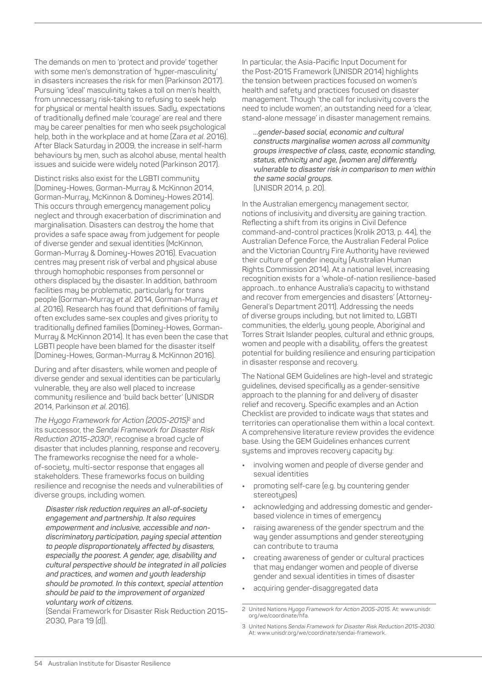The demands on men to 'protect and provide' together with some men's demonstration of 'hyper-masculinity' in disasters increases the risk for men (Parkinson 2017). Pursuing 'ideal' masculinity takes a toll on men's health, from unnecessary risk-taking to refusing to seek help for physical or mental health issues. Sadly, expectations of traditionally defined male 'courage' are real and there may be career penalties for men who seek psychological help, both in the workplace and at home (Zara *et al*. 2016). After Black Saturday in 2009, the increase in self-harm behaviours by men, such as alcohol abuse, mental health issues and suicide were widely noted (Parkinson 2017).

Distinct risks also exist for the LGBTI community (Dominey-Howes, Gorman-Murray & McKinnon 2014, Gorman-Murray, McKinnon & Dominey-Howes 2014). This occurs through emergency management policy neglect and through exacerbation of discrimination and marginalisation. Disasters can destroy the home that provides a safe space away from judgement for people of diverse gender and sexual identities (McKinnon, Gorman-Murray & Dominey-Howes 2016). Evacuation centres may present risk of verbal and physical abuse through homophobic responses from personnel or others displaced by the disaster. In addition, bathroom facilities may be problematic, particularly for trans people (Gorman-Murray *et al.* 2014, Gorman-Murray *et al.* 2016). Research has found that definitions of family often excludes same-sex couples and gives priority to traditionally defined families (Dominey-Howes, Gorman-Murray & McKinnon 2014). It has even been the case that LGBTI people have been blamed for the disaster itself (Dominey-Howes, Gorman-Murray & McKinnon 2016).

During and after disasters, while women and people of diverse gender and sexual identities can be particularly vulnerable, they are also well placed to increase community resilience and 'build back better' (UNISDR 2014, Parkinson *et al*. 2016).

*The Hyogo Framework for Action (2005-2015)*2 and its successor, the *Sendai Framework for Disaster Risk Reduction 2015-2030*3, recognise a broad cycle of disaster that includes planning, response and recovery. The frameworks recognise the need for a wholeof-society, multi-sector response that engages all stakeholders. These frameworks focus on building resilience and recognise the needs and vulnerabilities of diverse groups, including women.

*Disaster risk reduction requires an all-of-society engagement and partnership. It also requires empowerment and inclusive, accessible and nondiscriminatory participation, paying special attention to people disproportionately affected by disasters, especially the poorest. A gender, age, disability and cultural perspective should be integrated in all policies and practices, and women and youth leadership should be promoted. In this context, special attention should be paid to the improvement of organized voluntary work of citizens.* 

(Sendai Framework for Disaster Risk Reduction 2015- 2030, Para 19 (d)).

In particular, the Asia-Pacific Input Document for the Post-2015 Framework (UNISDR 2014) highlights the tension between practices focused on women's health and safety and practices focused on disaster management. Though 'the call for inclusivity covers the need to include women', an outstanding need for a 'clear, stand-alone message' in disaster management remains.

*…gender-based social, economic and cultural constructs marginalise women across all community groups irrespective of class, caste, economic standing, status, ethnicity and age, [women are] differently vulnerable to disaster risk in comparison to men within the same social groups.*  (UNISDR 2014, p. 20).

In the Australian emergency management sector, notions of inclusivity and diversity are gaining traction. Reflecting a shift from its origins in Civil Defence command-and-control practices (Krolik 2013, p. 44), the Australian Defence Force, the Australian Federal Police and the Victorian Country Fire Authority have reviewed their culture of gender inequity (Australian Human Rights Commission 2014). At a national level, increasing recognition exists for a 'whole-of-nation resilience-based approach…to enhance Australia's capacity to withstand and recover from emergencies and disasters' (Attorney-General's Department 2011). Addressing the needs of diverse groups including, but not limited to, LGBTI communities, the elderly, young people, Aboriginal and Torres Strait Islander peoples, cultural and ethnic groups, women and people with a disability, offers the greatest potential for building resilience and ensuring participation in disaster response and recovery.

The National GEM Guidelines are high-level and strategic guidelines, devised specifically as a gender-sensitive approach to the planning for and delivery of disaster relief and recovery. Specific examples and an Action Checklist are provided to indicate ways that states and territories can operationalise them within a local context. A comprehensive literature review provides the evidence base. Using the GEM Guidelines enhances current systems and improves recovery capacity by:

- **•** involving women and people of diverse gender and sexual identities
- **•** promoting self-care (e.g. by countering gender stereotupes)
- **•** acknowledging and addressing domestic and genderbased violence in times of emergency
- **•** raising awareness of the gender spectrum and the way gender assumptions and gender stereotyping can contribute to trauma
- **•** creating awareness of gender or cultural practices that may endanger women and people of diverse gender and sexual identities in times of disaster
- **•** acquiring gender-disaggregated data

<sup>2</sup> United Nations *Hyogo Framework for Action 2005-2015*. At: www.unisdr. org/we/coordinate/hfa.

<sup>3</sup> United Nations *Sendai Framework for Disaster Risk Reduction 2015-2030*. At: www.unisdr.org/we/coordinate/sendai-framework.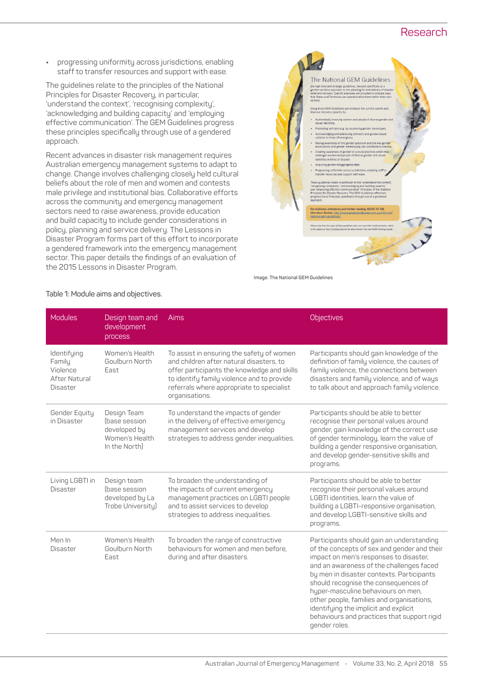#### Research

**•** progressing uniformity across jurisdictions, enabling staff to transfer resources and support with ease.

The guidelines relate to the principles of the National Principles for Disaster Recovery, in particular, 'understand the context', 'recognising complexity', 'acknowledging and building capacity' and 'employing effective communication'. The GEM Guidelines progress these principles specifically through use of a gendered approach.

Recent advances in disaster risk management requires Australian emergency management systems to adapt to change. Change involves challenging closely held cultural beliefs about the role of men and women and contests male privilege and institutional bias. Collaborative efforts across the community and emergency management sectors need to raise awareness, provide education and build capacity to include gender considerations in policy, planning and service delivery. The Lessons in Disaster Program forms part of this effort to incorporate a gendered framework into the emergency management sector. This paper details the findings of an evaluation of the 2015 Lessons in Disaster Program.



**Image: The National GEM Guidelines**

| <b>Modules</b>                                                        | Design team and<br>development<br>process                                       | Aims                                                                                                                                                                                                                                              | <b>Objectives</b>                                                                                                                                                                                                                                                                                                                                                                                                                                               |
|-----------------------------------------------------------------------|---------------------------------------------------------------------------------|---------------------------------------------------------------------------------------------------------------------------------------------------------------------------------------------------------------------------------------------------|-----------------------------------------------------------------------------------------------------------------------------------------------------------------------------------------------------------------------------------------------------------------------------------------------------------------------------------------------------------------------------------------------------------------------------------------------------------------|
| Identifying<br>Family<br>Violence<br>After Natural<br><b>Disaster</b> | Women's Health<br>Goulburn North<br>East                                        | To assist in ensuring the safety of women<br>and children after natural disasters, to<br>offer participants the knowledge and skills<br>to identify family violence and to provide<br>referrals where appropriate to specialist<br>organisations. | Participants should gain knowledge of the<br>definition of family violence, the causes of<br>family violence, the connections between<br>disasters and family violence, and of ways<br>to talk about and approach family violence.                                                                                                                                                                                                                              |
| Gender Equity<br>in Disaster                                          | Design Team<br>(base session<br>developed by<br>Women's Health<br>In the North) | To understand the impacts of gender<br>in the delivery of effective emergency<br>management services and develop<br>strategies to address gender inequalities.                                                                                    | Participants should be able to better<br>recognise their personal values around<br>gender, gain knowledge of the correct use<br>of gender terminology, learn the value of<br>building a gender responsive organisation,<br>and develop gender-sensitive skills and<br>programs.                                                                                                                                                                                 |
| Living LGBTI in<br><b>Disaster</b>                                    | Design team<br>(base session<br>developed by La<br>Trobe University)            | To broaden the understanding of<br>the impacts of current emergency<br>management practices on LGBTI people<br>and to assist services to develop<br>strategies to address inequalities.                                                           | Participants should be able to better<br>recognise their personal values around<br>LGBTI identities, learn the value of<br>building a LGBTI-responsive organisation,<br>and develop LGBTI-sensitive skills and<br>programs.                                                                                                                                                                                                                                     |
| Men In<br><b>Disaster</b>                                             | Women's Health<br>Goulburn North<br>East                                        | To broaden the range of constructive<br>behaviours for women and men before.<br>during and after disasters.                                                                                                                                       | Participants should gain an understanding<br>of the concepts of sex and gender and their<br>impact on men's responses to disaster,<br>and an awareness of the challenges faced<br>by men in disaster contexts. Participants<br>should recognise the consequences of<br>hyper-masculine behaviours on men,<br>other people, families and organisations,<br>identifying the implicit and explicit<br>behaviours and practices that support rigid<br>gender roles. |

#### **Table 1: Module aims and objectives.**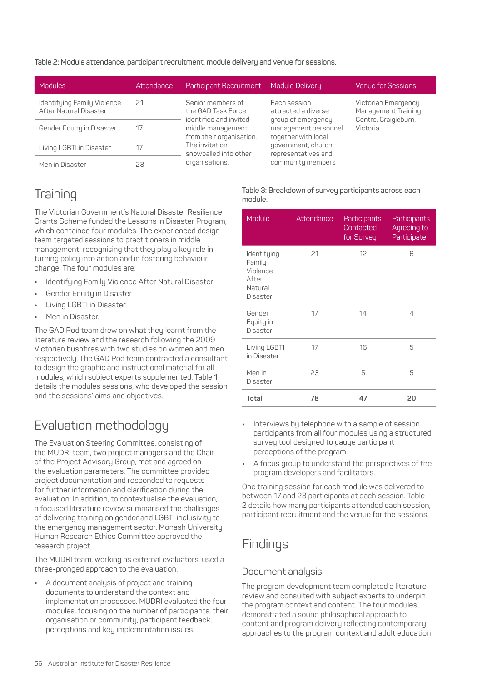**Table 2: Module attendance, participant recruitment, module delivery and venue for sessions.**

| Modules                                               | Attendance | Participant Recruitment                                                                  | Module Delivery                                                                                                                                                            | <b>Venue for Sessions</b>                                                       |
|-------------------------------------------------------|------------|------------------------------------------------------------------------------------------|----------------------------------------------------------------------------------------------------------------------------------------------------------------------------|---------------------------------------------------------------------------------|
| Identifying Family Violence<br>After Natural Disaster | 21         | Senior members of<br>the GAD Task Force<br>identified and invited                        | Each session<br>attracted a diverse<br>group of emergency<br>management personnel<br>together with local<br>government, church<br>representatives and<br>community members | Victorian Emergency<br>Management Training<br>Centre, Craigieburn,<br>Victoria. |
| Gender Equity in Disaster                             | 17         | middle management<br>from their organisation.<br>The invitation<br>snowballed into other |                                                                                                                                                                            |                                                                                 |
| Living LGBTI in Disaster                              | 17         |                                                                                          |                                                                                                                                                                            |                                                                                 |
| Men in Disaster                                       | 23         | organisations.                                                                           |                                                                                                                                                                            |                                                                                 |

# **Training**

The Victorian Government's Natural Disaster Resilience Grants Scheme funded the Lessons in Disaster Program, which contained four modules. The experienced design team targeted sessions to practitioners in middle management; recognising that they play a key role in turning policy into action and in fostering behaviour change. The four modules are:

- **•** Identifying Family Violence After Natural Disaster
- **•** Gender Equity in Disaster
- **•** Living LGBTI in Disaster
- **•** Men in Disaster.

The GAD Pod team drew on what they learnt from the literature review and the research following the 2009 Victorian bushfires with two studies on women and men respectively. The GAD Pod team contracted a consultant to design the graphic and instructional material for all modules, which subject experts supplemented. Table 1 details the modules sessions, who developed the session and the sessions' aims and objectives.

## Evaluation methodology

The Evaluation Steering Committee, consisting of the MUDRI team, two project managers and the Chair of the Project Advisory Group, met and agreed on the evaluation parameters. The committee provided project documentation and responded to requests for further information and clarification during the evaluation. In addition, to contextualise the evaluation, a focused literature review summarised the challenges of delivering training on gender and LGBTI inclusivity to the emergency management sector. Monash University Human Research Ethics Committee approved the research project.

The MUDRI team, working as external evaluators, used a three-pronged approach to the evaluation:

**•** A document analysis of project and training documents to understand the context and implementation processes. MUDRI evaluated the four modules, focusing on the number of participants, their organisation or community, participant feedback, perceptions and key implementation issues.

#### **Table 3: Breakdown of survey participants across each module.**

| Module                                                                   | Attendance | Participants<br>Contacted<br>for Survey | Participants<br>Agreeing to<br>Participate |
|--------------------------------------------------------------------------|------------|-----------------------------------------|--------------------------------------------|
| Identifying<br>Family<br>Violence<br>After<br>Natural<br><b>Disaster</b> | 21         | 12                                      | 6                                          |
| Gender<br>Equity in<br><b>Disaster</b>                                   | 17         | 14                                      | 4                                          |
| Living LGBTI<br>in Disaster                                              | 17         | 16                                      | 5                                          |
| 23<br>Men in<br>Disaster                                                 |            | 5                                       | 5                                          |
| Total                                                                    | 78         | 47                                      | 20                                         |

- **•** Interviews by telephone with a sample of session participants from all four modules using a structured survey tool designed to gauge participant perceptions of the program.
- **•** A focus group to understand the perspectives of the program developers and facilitators.

One training session for each module was delivered to between 17 and 23 participants at each session. Table 2 details how many participants attended each session, participant recruitment and the venue for the sessions.

### **Findings**

#### Document analysis

The program development team completed a literature review and consulted with subject experts to underpin the program context and content. The four modules demonstrated a sound philosophical approach to content and program delivery reflecting contemporary approaches to the program context and adult education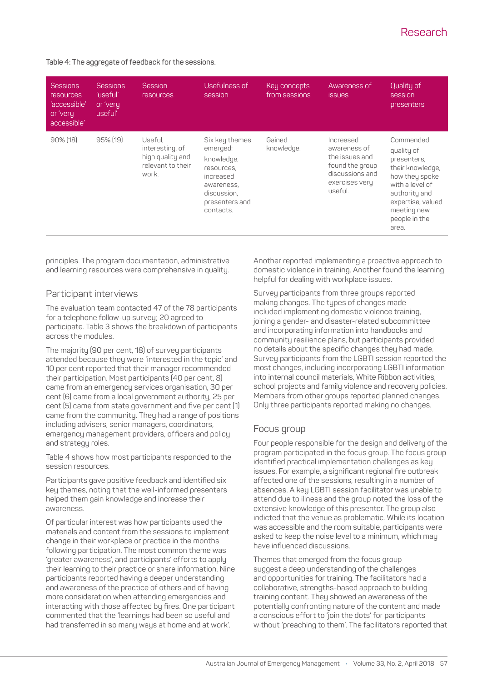### Research

**Table 4: The aggregate of feedback for the sessions.**

| <b>Sessions</b><br><b>resources</b><br>'accessible'<br>or 'very<br>accessible' | <b>Sessions</b><br>'useful'<br>or 'very<br>useful' | Session<br><b>resources</b>                                                  | Usefulness of<br>session                                                                                                        | Key concepts<br>from sessions | Awareness of<br><b>issues</b>                                                                                  | Quality of<br>session<br>presenters                                                                                                                                            |
|--------------------------------------------------------------------------------|----------------------------------------------------|------------------------------------------------------------------------------|---------------------------------------------------------------------------------------------------------------------------------|-------------------------------|----------------------------------------------------------------------------------------------------------------|--------------------------------------------------------------------------------------------------------------------------------------------------------------------------------|
| $90\%$ (18)                                                                    | $95\%$ (19)                                        | Useful,<br>interesting, of<br>high quality and<br>relevant to their<br>work. | Six key themes<br>emerged:<br>knowledge,<br>resources,<br>increased<br>awareness,<br>discussion,<br>presenters and<br>contacts. | Gained<br>knowledge.          | Increased<br>awareness of<br>the issues and<br>found the group<br>discussions and<br>exercises very<br>useful. | Commended<br>quality of<br>presenters,<br>their knowledge,<br>how they spoke<br>with a level of<br>authority and<br>expertise, valued<br>meeting new<br>people in the<br>area. |

principles. The program documentation, administrative and learning resources were comprehensive in quality.

#### Participant interviews

The evaluation team contacted 47 of the 78 participants for a telephone follow-up survey; 20 agreed to participate. Table 3 shows the breakdown of participants across the modules.

The majority (90 per cent, 18) of survey participants attended because they were 'interested in the topic' and 10 per cent reported that their manager recommended their participation. Most participants (40 per cent, 8) came from an emergency services organisation, 30 per cent (6) came from a local government authority, 25 per cent (5) came from state government and five per cent (1) came from the community. They had a range of positions including advisers, senior managers, coordinators, emergency management providers, officers and policy and strategy roles.

Table 4 shows how most participants responded to the session resources.

Participants gave positive feedback and identified six key themes, noting that the well-informed presenters helped them gain knowledge and increase their awareness.

Of particular interest was how participants used the materials and content from the sessions to implement change in their workplace or practice in the months following participation. The most common theme was 'greater awareness', and participants' efforts to apply their learning to their practice or share information. Nine participants reported having a deeper understanding and awareness of the practice of others and of having more consideration when attending emergencies and interacting with those affected by fires. One participant commented that the 'learnings had been so useful and had transferred in so many ways at home and at work'.

Another reported implementing a proactive approach to domestic violence in training. Another found the learning helpful for dealing with workplace issues.

Survey participants from three groups reported making changes. The types of changes made included implementing domestic violence training, joining a gender- and disaster-related subcommittee and incorporating information into handbooks and community resilience plans, but participants provided no details about the specific changes they had made. Survey participants from the LGBTI session reported the most changes, including incorporating LGBTI information into internal council materials, White Ribbon activities, school projects and family violence and recovery policies. Members from other groups reported planned changes. Only three participants reported making no changes.

#### Focus group

Four people responsible for the design and delivery of the program participated in the focus group. The focus group identified practical implementation challenges as key issues. For example, a significant regional fire outbreak affected one of the sessions, resulting in a number of absences. A key LGBTI session facilitator was unable to attend due to illness and the group noted the loss of the extensive knowledge of this presenter. The group also indicted that the venue as problematic. While its location was accessible and the room suitable, participants were asked to keep the noise level to a minimum, which may have influenced discussions.

Themes that emerged from the focus group suggest a deep understanding of the challenges and opportunities for training. The facilitators had a collaborative, strengths-based approach to building training content. They showed an awareness of the potentially confronting nature of the content and made a conscious effort to 'join the dots' for participants without 'preaching to them'. The facilitators reported that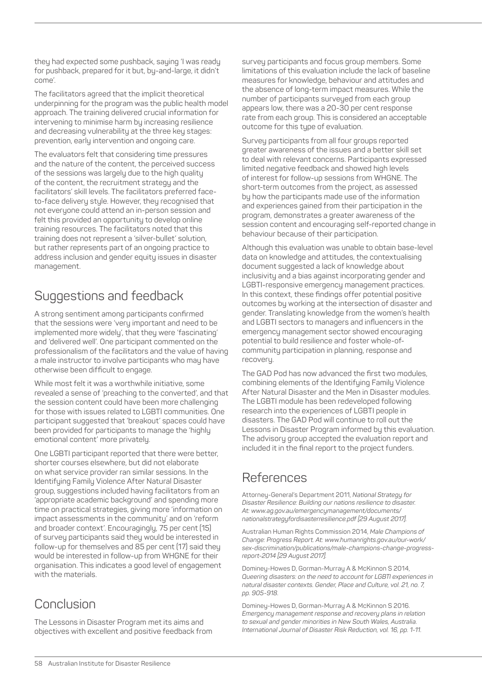theu had expected some pushback, saying 'I was ready for pushback, prepared for it but, by-and-large, it didn't come'.

The facilitators agreed that the implicit theoretical underpinning for the program was the public health model approach. The training delivered crucial information for intervening to minimise harm by increasing resilience and decreasing vulnerability at the three key stages: prevention, early intervention and ongoing care.

The evaluators felt that considering time pressures and the nature of the content, the perceived success of the sessions was largely due to the high quality of the content, the recruitment strategy and the facilitators' skill levels. The facilitators preferred faceto-face delivery style. However, they recognised that not everyone could attend an in-person session and felt this provided an opportunity to develop online training resources. The facilitators noted that this training does not represent a 'silver-bullet' solution, but rather represents part of an ongoing practice to address inclusion and gender equity issues in disaster management.

# Suggestions and feedback

A strong sentiment among participants confirmed that the sessions were 'very important and need to be implemented more widely', that they were 'fascinating' and 'delivered well'. One participant commented on the professionalism of the facilitators and the value of having a male instructor to involve participants who may have otherwise been difficult to engage.

While most felt it was a worthwhile initiative, some revealed a sense of 'preaching to the converted', and that the session content could have been more challenging for those with issues related to LGBTI communities. One participant suggested that 'breakout' spaces could have been provided for participants to manage the 'highly emotional content' more privately.

One LGBTI participant reported that there were better, shorter courses elsewhere, but did not elaborate on what service provider ran similar sessions. In the Identifying Family Violence After Natural Disaster group, suggestions included having facilitators from an 'appropriate academic background' and spending more time on practical strategies, giving more 'information on impact assessments in the community' and on 'reform and broader context'. Encouragingly, 75 per cent (15) of survey participants said they would be interested in follow-up for themselves and 85 per cent (17) said they would be interested in follow-up from WHGNE for their organisation. This indicates a good level of engagement with the materials.

### **Conclusion**

The Lessons in Disaster Program met its aims and objectives with excellent and positive feedback from survey participants and focus group members. Some limitations of this evaluation include the lack of baseline measures for knowledge, behaviour and attitudes and the absence of long-term impact measures. While the number of participants surveyed from each group appears low, there was a 20-30 per cent response rate from each group. This is considered an acceptable outcome for this type of evaluation.

Survey participants from all four groups reported greater awareness of the issues and a better skill set to deal with relevant concerns. Participants expressed limited negative feedback and showed high levels of interest for follow-up sessions from WHGNE. The short-term outcomes from the project, as assessed by how the participants made use of the information and experiences gained from their participation in the program, demonstrates a greater awareness of the session content and encouraging self-reported change in behaviour because of their participation.

Although this evaluation was unable to obtain base-level data on knowledge and attitudes, the contextualising document suggested a lack of knowledge about inclusivity and a bias against incorporating gender and LGBTI-responsive emergency management practices. In this context, these findings offer potential positive outcomes by working at the intersection of disaster and gender. Translating knowledge from the women's health and LGBTI sectors to managers and influencers in the emergency management sector showed encouraging potential to build resilience and foster whole-ofcommunity participation in planning, response and recovery.

The GAD Pod has now advanced the first two modules, combining elements of the Identifying Family Violence After Natural Disaster and the Men in Disaster modules. The LGBTI module has been redeveloped following research into the experiences of LGBTI people in disasters. The GAD Pod will continue to roll out the Lessons in Disaster Program informed by this evaluation. The advisory group accepted the evaluation report and included it in the final report to the project funders.

### References

Attorney-General's Department 2011, *National Strategy for Disaster Resilience: Building our nations resilience to disaster. At: www.ag.gov.au/emergencymanagement/documents/ nationalstrategyfordisasterresilience.pdf [29 August 2017].*

Australian Human Rights Commission 2014, *Male Champions of Change: Progress Report. At: www.humanrights.gov.au/our-work/ sex-discrimination/publications/male-champions-change-progressreport-2014 [29 August 2017].*

Dominey-Howes D, Gorman-Murray A & McKinnon S 2014, *Queering disasters: on the need to account for LGBTI experiences in natural disaster contexts. Gender, Place and Culture, vol. 21, no. 7, pp. 905-918.*

Dominey-Howes D, Gorman-Murray A & McKinnon S 2016. *Emergency management response and recovery plans in relation to sexual and gender minorities in New South Wales, Australia. International Journal of Disaster Risk Reduction, vol. 16, pp. 1-11.*